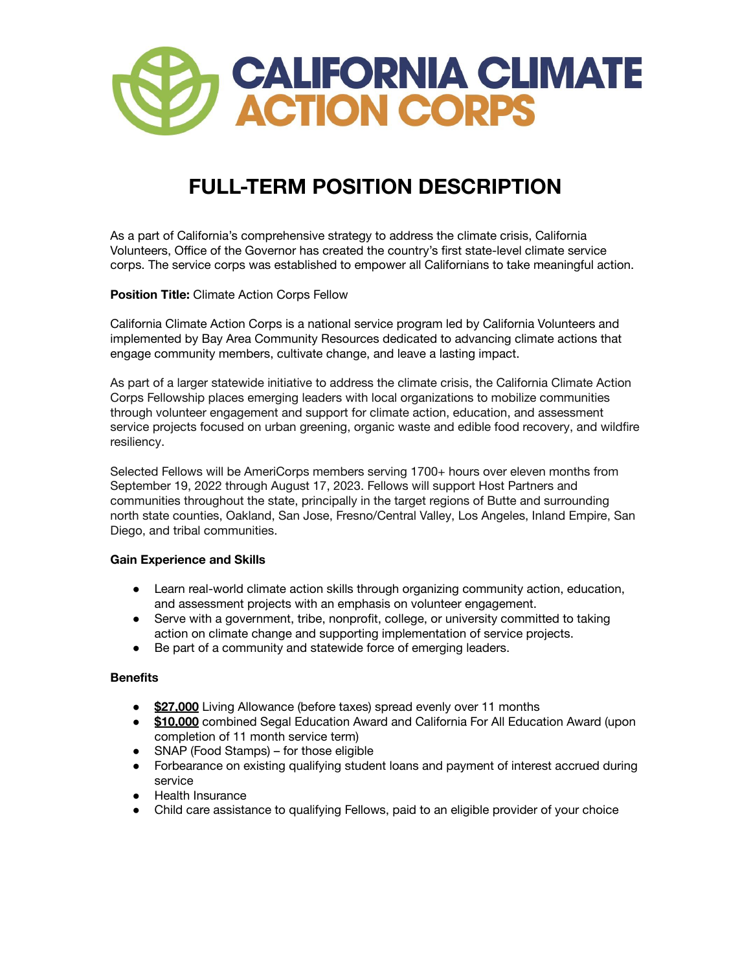

# **FULL-TERM POSITION DESCRIPTION**

As a part of California's comprehensive strategy to address the climate crisis, California Volunteers, Office of the Governor has created the country's first state-level climate service corps. The service corps was established to empower all Californians to take meaningful action.

**Position Title:** Climate Action Corps Fellow

California Climate Action Corps is a national service program led by California Volunteers and implemented by Bay Area Community Resources dedicated to advancing climate actions that engage community members, cultivate change, and leave a lasting impact.

As part of a larger statewide initiative to address the climate crisis, the California Climate Action Corps Fellowship places emerging leaders with local organizations to mobilize communities through volunteer engagement and support for climate action, education, and assessment service projects focused on urban greening, organic waste and edible food recovery, and wildfire resiliency.

Selected Fellows will be AmeriCorps members serving 1700+ hours over eleven months from September 19, 2022 through August 17, 2023. Fellows will support Host Partners and communities throughout the state, principally in the target regions of Butte and surrounding north state counties, Oakland, San Jose, Fresno/Central Valley, Los Angeles, Inland Empire, San Diego, and tribal communities.

# **Gain Experience and Skills**

- Learn real-world climate action skills through organizing community action, education, and assessment projects with an emphasis on volunteer engagement.
- Serve with a government, tribe, nonprofit, college, or university committed to taking action on climate change and supporting implementation of service projects.
- Be part of a community and statewide force of emerging leaders.

## **Benefits**

- **\$27,000** Living Allowance (before taxes) spread evenly over 11 months
- **\$10,000** combined Segal Education Award and California For All Education Award (upon completion of 11 month service term)
- SNAP (Food Stamps) for those eligible
- Forbearance on existing qualifying student loans and payment of interest accrued during service
- Health Insurance
- Child care assistance to qualifying Fellows, paid to an eligible provider of your choice